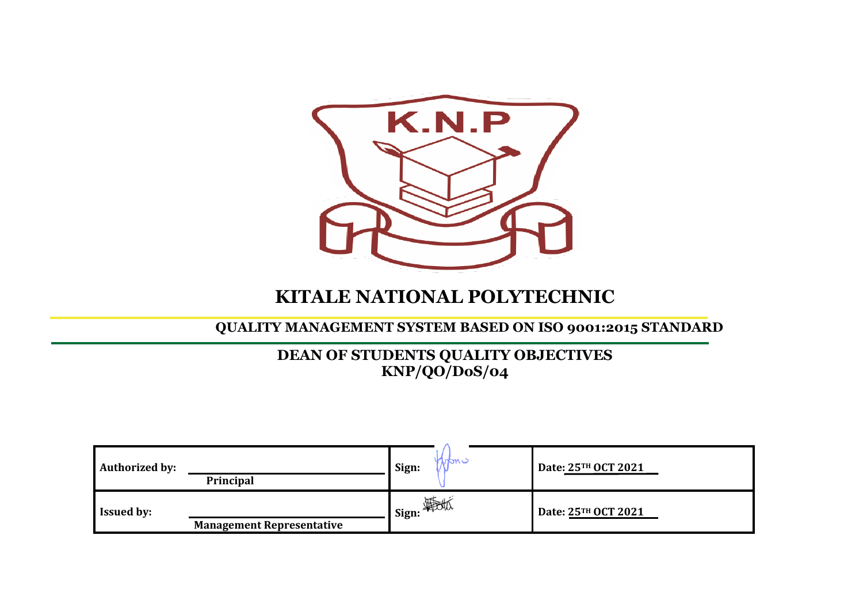

## **KITALE NATIONAL POLYTECHNIC**

**QUALITY MANAGEMENT SYSTEM BASED ON ISO 9001:2015 STANDARD**

## **DEAN OF STUDENTS QUALITY OBJECTIVES KNP/QO/DoS/04**

| <b>Authorized by:</b> | Principal                        | <b>TURU -</b><br>Sign: | Date: 25TH OCT 2021 |
|-----------------------|----------------------------------|------------------------|---------------------|
| <b>Issued by:</b>     | <b>Management Representative</b> | <b>■I</b> Sign:        | Date: 25TH OCT 2021 |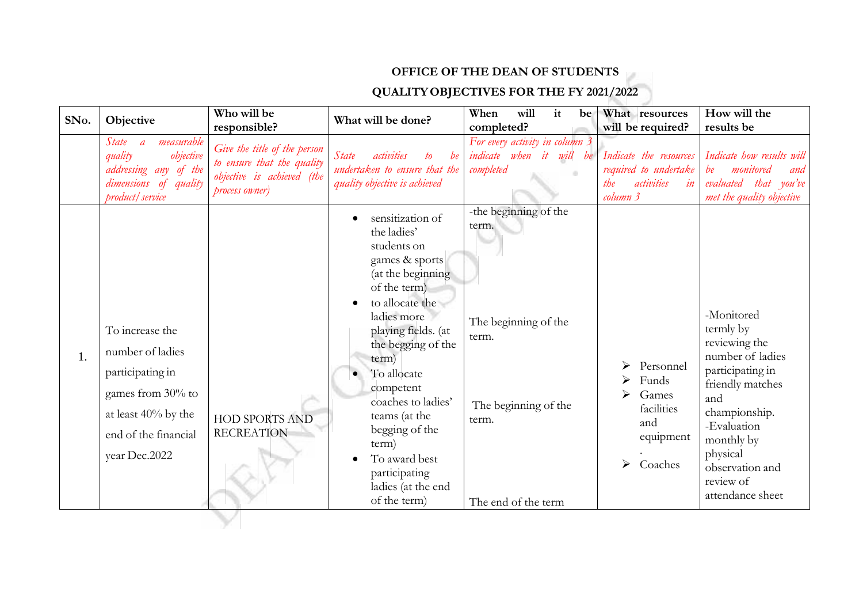## **OFFICE OF THE DEAN OF STUDENTS**

## **QUALITYOBJECTIVES FOR THE FY 2021/2022**

| SNo. | Objective                                                                                                                                    | Who will be<br>responsible?                                                                                | What will be done?                                                                                                                                                                                                                                                                                                                                                  | will<br>When<br>it<br>be<br>completed?                                                                                  | What resources<br>will be required?                                                    | How will the<br>results be                                                                                                                                                                                                |
|------|----------------------------------------------------------------------------------------------------------------------------------------------|------------------------------------------------------------------------------------------------------------|---------------------------------------------------------------------------------------------------------------------------------------------------------------------------------------------------------------------------------------------------------------------------------------------------------------------------------------------------------------------|-------------------------------------------------------------------------------------------------------------------------|----------------------------------------------------------------------------------------|---------------------------------------------------------------------------------------------------------------------------------------------------------------------------------------------------------------------------|
|      | <i>State</i><br>measurable<br>$\overline{a}$<br>objective<br>quality<br>addressing any of the<br>dimensions of quality<br>product / service  | Give the title of the person<br>to ensure that the quality<br>objective is achieved (the<br>process owner) | <i>State</i><br>be<br><i>activities</i><br>to<br>undertaken to ensure that the<br>quality objective is achieved                                                                                                                                                                                                                                                     | For every activity in column 3<br>indicate when it will be<br>completed                                                 | Indicate the resources<br>required to undertake<br>activities<br>the<br>in<br>column 3 | Indicate how results will<br>monitored<br>be<br>and<br>evaluated that you've<br>met the quality objective                                                                                                                 |
| 1.   | To increase the<br>number of ladies<br>participating in<br>games from 30% to<br>at least 40% by the<br>end of the financial<br>year Dec.2022 | <b>HOD SPORTS AND</b><br><b>RECREATION</b>                                                                 | sensitization of<br>the ladies'<br>students on<br>games & sports<br>(at the beginning<br>of the term)<br>to allocate the<br>ladies more<br>playing fields. (at<br>the begging of the<br>term)<br>To allocate<br>competent<br>coaches to ladies'<br>teams (at the<br>begging of the<br>term)<br>To award best<br>participating<br>ladies (at the end<br>of the term) | -the beginning of the<br>term.<br>The beginning of the<br>term.<br>The beginning of the<br>term.<br>The end of the term | Personnel<br>Funds<br>Games<br>facilities<br>and<br>equipment<br>Coaches<br>≻          | -Monitored<br>termly by<br>reviewing the<br>number of ladies<br>participating in<br>friendly matches<br>and<br>championship.<br>-Evaluation<br>monthly by<br>physical<br>observation and<br>review of<br>attendance sheet |